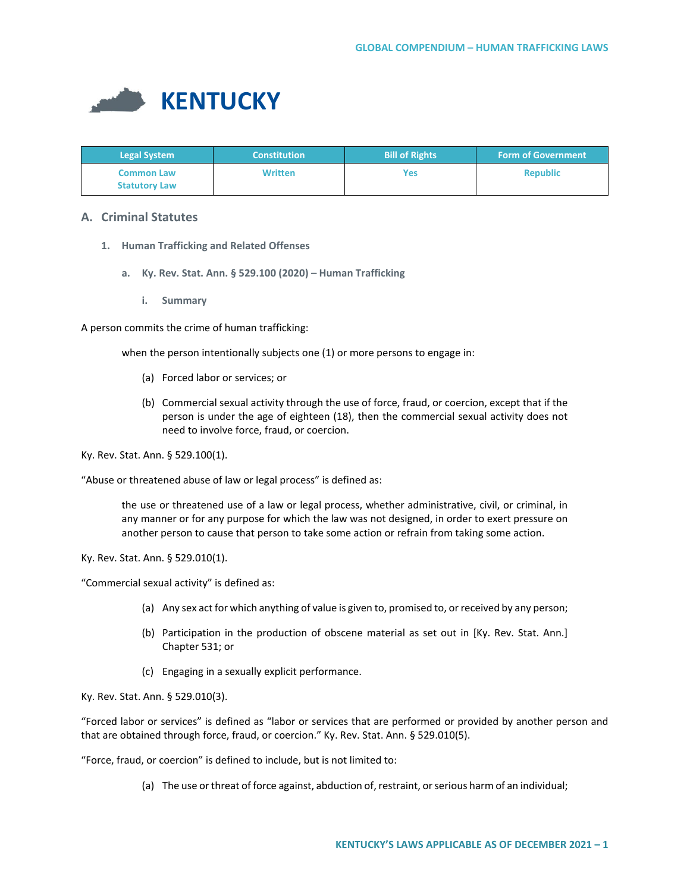

| <b>Legal System</b>  | <b>Constitution</b> | <b>Bill of Rights</b> | <b>Form of Government</b> |
|----------------------|---------------------|-----------------------|---------------------------|
| <b>Common Law</b>    | <b>Written</b>      | Yes                   | <b>Republic</b>           |
| <b>Statutory Law</b> |                     |                       |                           |

# **A. Criminal Statutes**

- **1. Human Trafficking and Related Offenses**
	- **a. Ky. Rev. Stat. Ann. § 529.100 (2020) – Human Trafficking**
		- **i. Summary**

A person commits the crime of human trafficking:

when the person intentionally subjects one (1) or more persons to engage in:

- (a) Forced labor or services; or
- (b) Commercial sexual activity through the use of force, fraud, or coercion, except that if the person is under the age of eighteen (18), then the commercial sexual activity does not need to involve force, fraud, or coercion.

Ky. Rev. Stat. Ann. § 529.100(1).

"Abuse or threatened abuse of law or legal process" is defined as:

the use or threatened use of a law or legal process, whether administrative, civil, or criminal, in any manner or for any purpose for which the law was not designed, in order to exert pressure on another person to cause that person to take some action or refrain from taking some action.

Ky. Rev. Stat. Ann. § 529.010(1).

"Commercial sexual activity" is defined as:

- (a) Any sex act for which anything of value is given to, promised to, or received by any person;
- (b) Participation in the production of obscene material as set out in [Ky. Rev. Stat. Ann.] Chapter 531; or
- (c) Engaging in a sexually explicit performance.

Ky. Rev. Stat. Ann. § 529.010(3).

"Forced labor or services" is defined as "labor or services that are performed or provided by another person and that are obtained through force, fraud, or coercion." Ky. Rev. Stat. Ann. § 529.010(5).

"Force, fraud, or coercion" is defined to include, but is not limited to:

(a) The use or threat of force against, abduction of, restraint, or serious harm of an individual;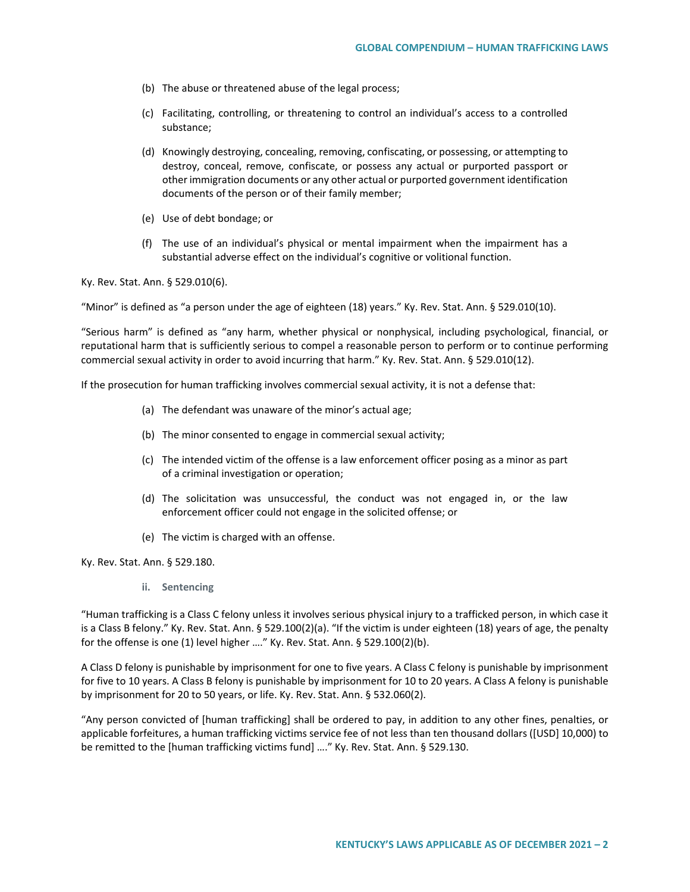- (b) The abuse or threatened abuse of the legal process;
- (c) Facilitating, controlling, or threatening to control an individual's access to a controlled substance;
- (d) Knowingly destroying, concealing, removing, confiscating, or possessing, or attempting to destroy, conceal, remove, confiscate, or possess any actual or purported passport or other immigration documents or any other actual or purported government identification documents of the person or of their family member;
- (e) Use of debt bondage; or
- (f) The use of an individual's physical or mental impairment when the impairment has a substantial adverse effect on the individual's cognitive or volitional function.

Ky. Rev. Stat. Ann. § 529.010(6).

"Minor" is defined as "a person under the age of eighteen (18) years." Ky. Rev. Stat. Ann. § 529.010(10).

"Serious harm" is defined as "any harm, whether physical or nonphysical, including psychological, financial, or reputational harm that is sufficiently serious to compel a reasonable person to perform or to continue performing commercial sexual activity in order to avoid incurring that harm." Ky. Rev. Stat. Ann. § 529.010(12).

If the prosecution for human trafficking involves commercial sexual activity, it is not a defense that:

- (a) The defendant was unaware of the minor's actual age;
- (b) The minor consented to engage in commercial sexual activity;
- (c) The intended victim of the offense is a law enforcement officer posing as a minor as part of a criminal investigation or operation;
- (d) The solicitation was unsuccessful, the conduct was not engaged in, or the law enforcement officer could not engage in the solicited offense; or
- (e) The victim is charged with an offense.

Ky. Rev. Stat. Ann. § 529.180.

**ii. Sentencing**

"Human trafficking is a Class C felony unless it involves serious physical injury to a trafficked person, in which case it is a Class B felony." Ky. Rev. Stat. Ann. § 529.100(2)(a). "If the victim is under eighteen (18) years of age, the penalty for the offense is one (1) level higher …." Ky. Rev. Stat. Ann. § 529.100(2)(b).

A Class D felony is punishable by imprisonment for one to five years. A Class C felony is punishable by imprisonment for five to 10 years. A Class B felony is punishable by imprisonment for 10 to 20 years. A Class A felony is punishable by imprisonment for 20 to 50 years, or life. Ky. Rev. Stat. Ann. § 532.060(2).

"Any person convicted of [human trafficking] shall be ordered to pay, in addition to any other fines, penalties, or applicable forfeitures, a human trafficking victims service fee of not less than ten thousand dollars ([USD] 10,000) to be remitted to the [human trafficking victims fund] …." Ky. Rev. Stat. Ann. § 529.130.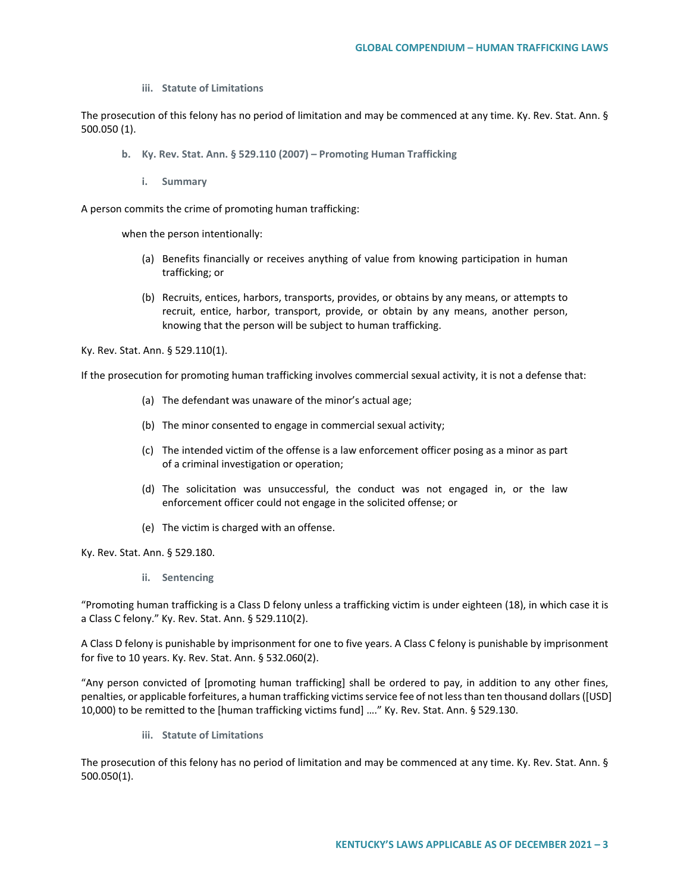**iii. Statute of Limitations**

The prosecution of this felony has no period of limitation and may be commenced at any time. Ky. Rev. Stat. Ann. § 500.050 (1).

- **b. Ky. Rev. Stat. Ann. § 529.110 (2007) – Promoting Human Trafficking**
	- **i. Summary**

A person commits the crime of promoting human trafficking:

when the person intentionally:

- (a) Benefits financially or receives anything of value from knowing participation in human trafficking; or
- (b) Recruits, entices, harbors, transports, provides, or obtains by any means, or attempts to recruit, entice, harbor, transport, provide, or obtain by any means, another person, knowing that the person will be subject to human trafficking.

Ky. Rev. Stat. Ann. § 529.110(1).

If the prosecution for promoting human trafficking involves commercial sexual activity, it is not a defense that:

- (a) The defendant was unaware of the minor's actual age;
- (b) The minor consented to engage in commercial sexual activity;
- (c) The intended victim of the offense is a law enforcement officer posing as a minor as part of a criminal investigation or operation;
- (d) The solicitation was unsuccessful, the conduct was not engaged in, or the law enforcement officer could not engage in the solicited offense; or
- (e) The victim is charged with an offense.

Ky. Rev. Stat. Ann. § 529.180.

**ii. Sentencing**

"Promoting human trafficking is a Class D felony unless a trafficking victim is under eighteen (18), in which case it is a Class C felony." Ky. Rev. Stat. Ann. § 529.110(2).

A Class D felony is punishable by imprisonment for one to five years. A Class C felony is punishable by imprisonment for five to 10 years. Ky. Rev. Stat. Ann. § 532.060(2).

"Any person convicted of [promoting human trafficking] shall be ordered to pay, in addition to any other fines, penalties, or applicable forfeitures, a human trafficking victims service fee of not less than ten thousand dollars ([USD] 10,000) to be remitted to the [human trafficking victims fund] …." Ky. Rev. Stat. Ann. § 529.130.

**iii. Statute of Limitations**

The prosecution of this felony has no period of limitation and may be commenced at any time. Ky. Rev. Stat. Ann. § 500.050(1).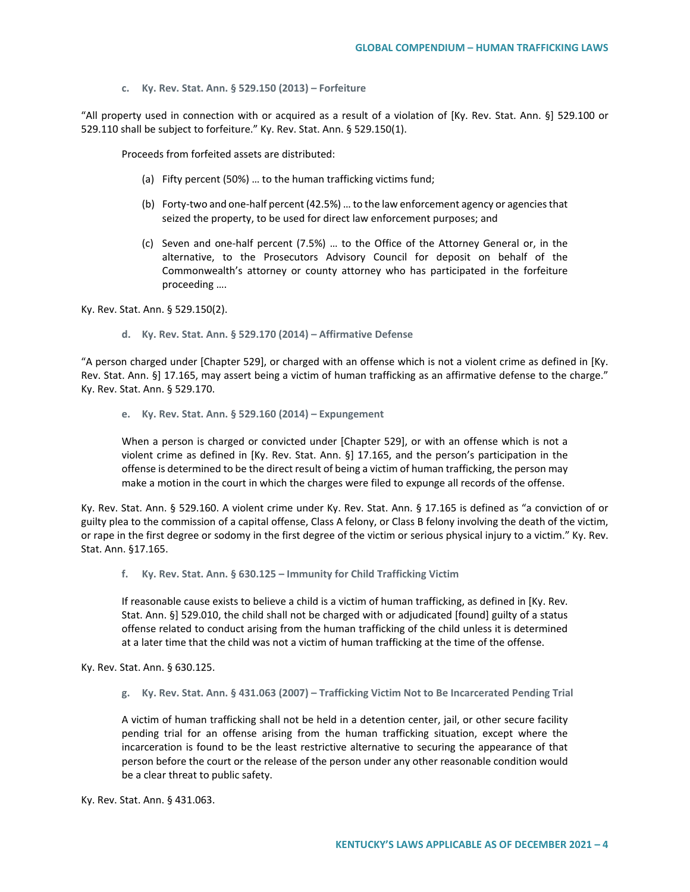**c. Ky. Rev. Stat. Ann. § 529.150 (2013) – Forfeiture** 

"All property used in connection with or acquired as a result of a violation of [Ky. Rev. Stat. Ann. §] 529.100 or 529.110 shall be subject to forfeiture." Ky. Rev. Stat. Ann. § 529.150(1).

Proceeds from forfeited assets are distributed:

- (a) Fifty percent (50%) … to the human trafficking victims fund;
- (b) Forty-two and one-half percent (42.5%) … to the law enforcement agency or agencies that seized the property, to be used for direct law enforcement purposes; and
- (c) Seven and one-half percent (7.5%) … to the Office of the Attorney General or, in the alternative, to the Prosecutors Advisory Council for deposit on behalf of the Commonwealth's attorney or county attorney who has participated in the forfeiture proceeding ….

Ky. Rev. Stat. Ann. § 529.150(2).

**d. Ky. Rev. Stat. Ann. § 529.170 (2014) – Affirmative Defense** 

"A person charged under [Chapter 529], or charged with an offense which is not a violent crime as defined in [Ky. Rev. Stat. Ann. §] 17.165, may assert being a victim of human trafficking as an affirmative defense to the charge." Ky. Rev. Stat. Ann. § 529.170.

**e. Ky. Rev. Stat. Ann. § 529.160 (2014) – Expungement** 

When a person is charged or convicted under [Chapter 529], or with an offense which is not a violent crime as defined in [Ky. Rev. Stat. Ann. §] 17.165, and the person's participation in the offense is determined to be the direct result of being a victim of human trafficking, the person may make a motion in the court in which the charges were filed to expunge all records of the offense.

Ky. Rev. Stat. Ann. § 529.160. A violent crime under Ky. Rev. Stat. Ann. § 17.165 is defined as "a conviction of or guilty plea to the commission of a capital offense, Class A felony, or Class B felony involving the death of the victim, or rape in the first degree or sodomy in the first degree of the victim or serious physical injury to a victim." Ky. Rev. Stat. Ann. §17.165.

**f. Ky. Rev. Stat. Ann. § 630.125 – Immunity for Child Trafficking Victim**

If reasonable cause exists to believe a child is a victim of human trafficking, as defined in [Ky. Rev. Stat. Ann. §] 529.010, the child shall not be charged with or adjudicated [found] guilty of a status offense related to conduct arising from the human trafficking of the child unless it is determined at a later time that the child was not a victim of human trafficking at the time of the offense.

Ky. Rev. Stat. Ann. § 630.125.

**g. Ky. Rev. Stat. Ann. § 431.063 (2007) – Trafficking Victim Not to Be Incarcerated Pending Trial** 

A victim of human trafficking shall not be held in a detention center, jail, or other secure facility pending trial for an offense arising from the human trafficking situation, except where the incarceration is found to be the least restrictive alternative to securing the appearance of that person before the court or the release of the person under any other reasonable condition would be a clear threat to public safety.

Ky. Rev. Stat. Ann. § 431.063.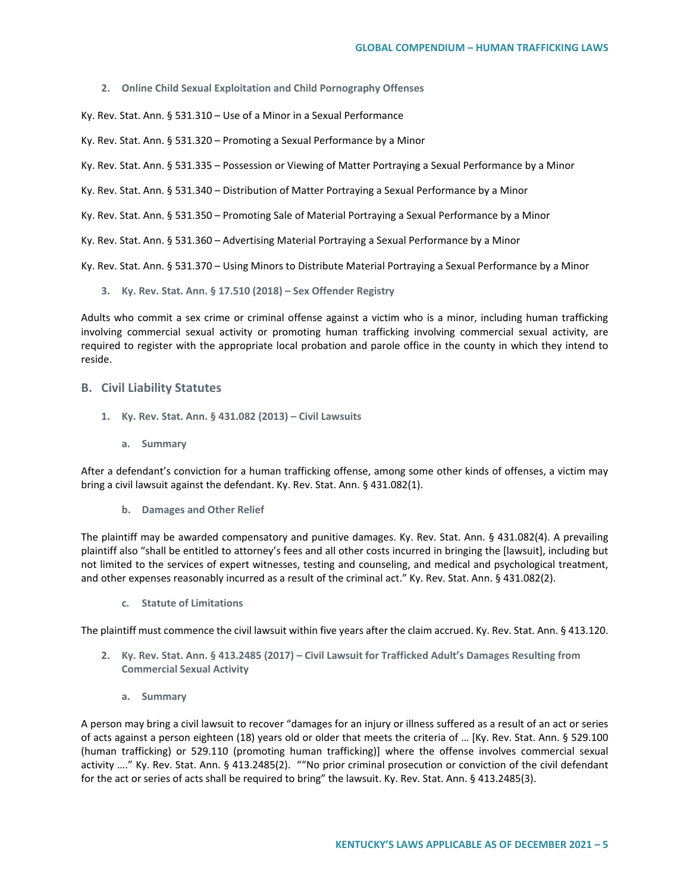#### **2. Online Child Sexual Exploitation and Child Pornography Offenses**

Ky. Rev. Stat. Ann. § 531.310 – Use of a Minor in a Sexual Performance

Ky. Rev. Stat. Ann. § 531.320 – Promoting a Sexual Performance by a Minor

Ky. Rev. Stat. Ann. § 531.335 – Possession or Viewing of Matter Portraying a Sexual Performance by a Minor

Ky. Rev. Stat. Ann. § 531.340 – Distribution of Matter Portraying a Sexual Performance by a Minor

Ky. Rev. Stat. Ann. § 531.350 – Promoting Sale of Material Portraying a Sexual Performance by a Minor

Ky. Rev. Stat. Ann. § 531.360 – Advertising Material Portraying a Sexual Performance by a Minor

Ky. Rev. Stat. Ann. § 531.370 – Using Minors to Distribute Material Portraying a Sexual Performance by a Minor

**3. Ky. Rev. Stat. Ann. § 17.510 (2018) – Sex Offender Registry** 

Adults who commit a sex crime or criminal offense against a victim who is a minor, including human trafficking involving commercial sexual activity or promoting human trafficking involving commercial sexual activity, are required to register with the appropriate local probation and parole office in the county in which they intend to reside.

### **B. Civil Liability Statutes**

- **1. Ky. Rev. Stat. Ann. § 431.082 (2013) – Civil Lawsuits**
	- **a. Summary**

After a defendant's conviction for a human trafficking offense, among some other kinds of offenses, a victim may bring a civil lawsuit against the defendant. Ky. Rev. Stat. Ann. § 431.082(1).

**b. Damages and Other Relief**

The plaintiff may be awarded compensatory and punitive damages. Ky. Rev. Stat. Ann. § 431.082(4). A prevailing plaintiff also "shall be entitled to attorney's fees and all other costs incurred in bringing the [lawsuit], including but not limited to the services of expert witnesses, testing and counseling, and medical and psychological treatment, and other expenses reasonably incurred as a result of the criminal act." Ky. Rev. Stat. Ann. § 431.082(2).

**c. Statute of Limitations**

The plaintiff must commence the civil lawsuit within five years after the claim accrued. Ky. Rev. Stat. Ann. § 413.120.

- **2. Ky. Rev. Stat. Ann. § 413.2485 (2017) – Civil Lawsuit for Trafficked Adult's Damages Resulting from Commercial Sexual Activity**
	- **a. Summary**

A person may bring a civil lawsuit to recover "damages for an injury or illness suffered as a result of an act or series of acts against a person eighteen (18) years old or older that meets the criteria of … [Ky. Rev. Stat. Ann. § 529.100 (human trafficking) or 529.110 (promoting human trafficking)] where the offense involves commercial sexual activity …." Ky. Rev. Stat. Ann. § 413.2485(2). ""No prior criminal prosecution or conviction of the civil defendant for the act or series of acts shall be required to bring" the lawsuit. Ky. Rev. Stat. Ann. § 413.2485(3).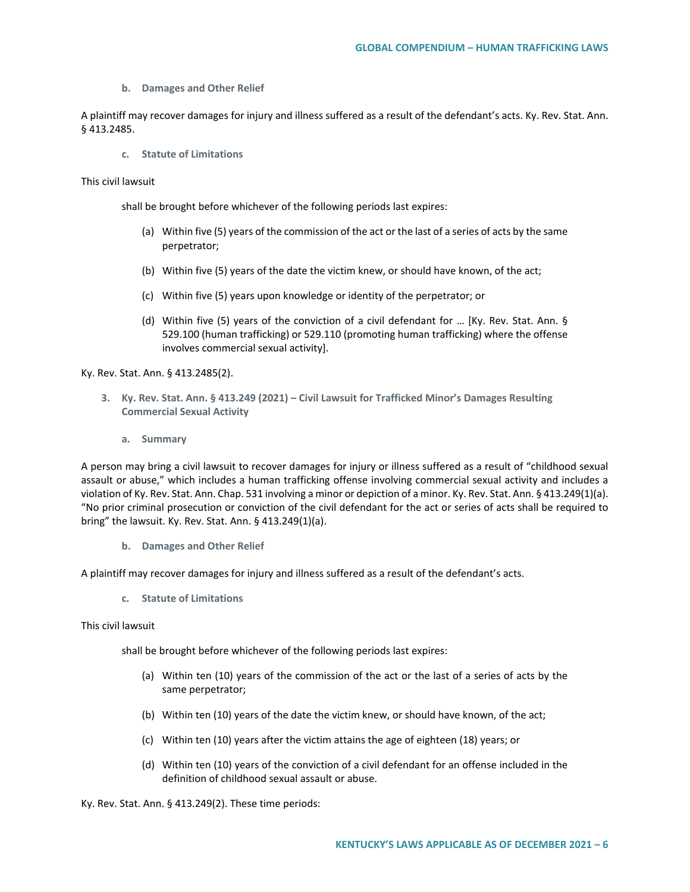**b. Damages and Other Relief**

A plaintiff may recover damages for injury and illness suffered as a result of the defendant's acts. Ky. Rev. Stat. Ann. § 413.2485.

**c. Statute of Limitations**

This civil lawsuit

shall be brought before whichever of the following periods last expires:

- (a) Within five (5) years of the commission of the act or the last of a series of acts by the same perpetrator;
- (b) Within five (5) years of the date the victim knew, or should have known, of the act;
- (c) Within five (5) years upon knowledge or identity of the perpetrator; or
- (d) Within five (5) years of the conviction of a civil defendant for … [Ky. Rev. Stat. Ann. § 529.100 (human trafficking) or 529.110 (promoting human trafficking) where the offense involves commercial sexual activity].

Ky. Rev. Stat. Ann. § 413.2485(2).

- **3. Ky. Rev. Stat. Ann. § 413.249 (2021) – Civil Lawsuit for Trafficked Minor's Damages Resulting Commercial Sexual Activity** 
	- **a. Summary**

A person may bring a civil lawsuit to recover damages for injury or illness suffered as a result of "childhood sexual assault or abuse," which includes a human trafficking offense involving commercial sexual activity and includes a violation of Ky. Rev. Stat. Ann. Chap. 531 involving a minor or depiction of a minor. Ky. Rev. Stat. Ann. § 413.249(1)(a). "No prior criminal prosecution or conviction of the civil defendant for the act or series of acts shall be required to bring" the lawsuit. Ky. Rev. Stat. Ann. § 413.249(1)(a).

**b. Damages and Other Relief**

A plaintiff may recover damages for injury and illness suffered as a result of the defendant's acts.

**c. Statute of Limitations**

This civil lawsuit

shall be brought before whichever of the following periods last expires:

- (a) Within ten (10) years of the commission of the act or the last of a series of acts by the same perpetrator;
- (b) Within ten (10) years of the date the victim knew, or should have known, of the act;
- (c) Within ten (10) years after the victim attains the age of eighteen (18) years; or
- (d) Within ten (10) years of the conviction of a civil defendant for an offense included in the definition of childhood sexual assault or abuse.

Ky. Rev. Stat. Ann. § 413.249(2). These time periods: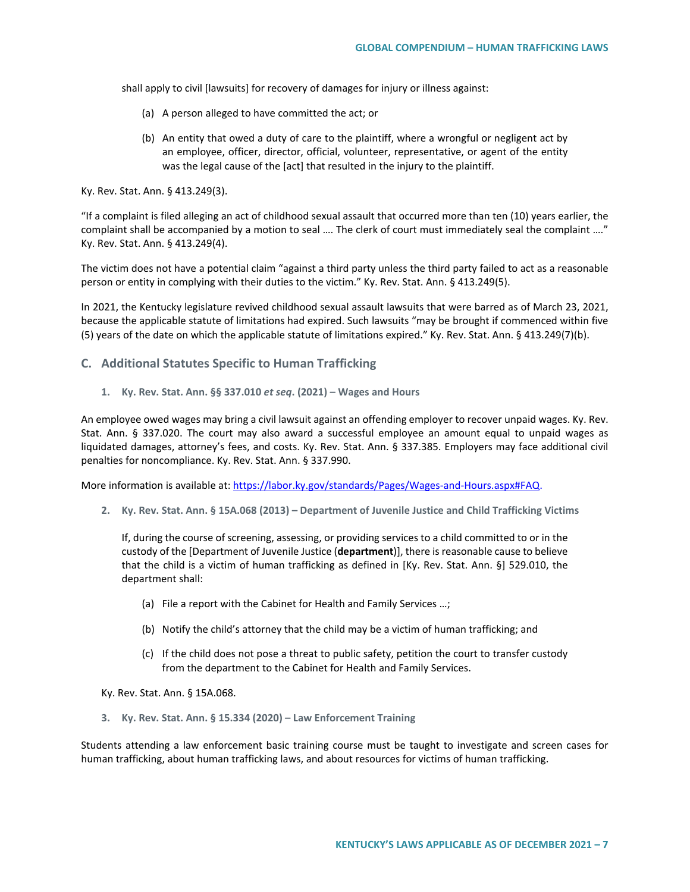shall apply to civil [lawsuits] for recovery of damages for injury or illness against:

- (a) A person alleged to have committed the act; or
- (b) An entity that owed a duty of care to the plaintiff, where a wrongful or negligent act by an employee, officer, director, official, volunteer, representative, or agent of the entity was the legal cause of the [act] that resulted in the injury to the plaintiff.

Ky. Rev. Stat. Ann. § 413.249(3).

"If a complaint is filed alleging an act of childhood sexual assault that occurred more than ten (10) years earlier, the complaint shall be accompanied by a motion to seal …. The clerk of court must immediately seal the complaint …." Ky. Rev. Stat. Ann. § 413.249(4).

The victim does not have a potential claim "against a third party unless the third party failed to act as a reasonable person or entity in complying with their duties to the victim." Ky. Rev. Stat. Ann. § 413.249(5).

In 2021, the Kentucky legislature revived childhood sexual assault lawsuits that were barred as of March 23, 2021, because the applicable statute of limitations had expired. Such lawsuits "may be brought if commenced within five (5) years of the date on which the applicable statute of limitations expired." Ky. Rev. Stat. Ann. § 413.249(7)(b).

## **C. Additional Statutes Specific to Human Trafficking**

**1. Ky. Rev. Stat. Ann. §§ 337.010** *et seq***. (2021) – Wages and Hours**

An employee owed wages may bring a civil lawsuit against an offending employer to recover unpaid wages. Ky. Rev. Stat. Ann. § 337.020. The court may also award a successful employee an amount equal to unpaid wages as liquidated damages, attorney's fees, and costs. Ky. Rev. Stat. Ann. § 337.385. Employers may face additional civil penalties for noncompliance. Ky. Rev. Stat. Ann. § 337.990.

More information is available at: [https://labor.ky.gov/standards/Pages/Wages-and-Hours.aspx#FAQ.](https://labor.ky.gov/standards/Pages/Wages-and-Hours.aspx)

**2. Ky. Rev. Stat. Ann. § 15A.068 (2013) – Department of Juvenile Justice and Child Trafficking Victims** 

If, during the course of screening, assessing, or providing services to a child committed to or in the custody of the [Department of Juvenile Justice (**department**)], there is reasonable cause to believe that the child is a victim of human trafficking as defined in [Ky. Rev. Stat. Ann. §] 529.010, the department shall:

- (a) File a report with the Cabinet for Health and Family Services …;
- (b) Notify the child's attorney that the child may be a victim of human trafficking; and
- (c) If the child does not pose a threat to public safety, petition the court to transfer custody from the department to the Cabinet for Health and Family Services.

Ky. Rev. Stat. Ann. § 15A.068.

**3. Ky. Rev. Stat. Ann. § 15.334 (2020) – Law Enforcement Training** 

Students attending a law enforcement basic training course must be taught to investigate and screen cases for human trafficking, about human trafficking laws, and about resources for victims of human trafficking.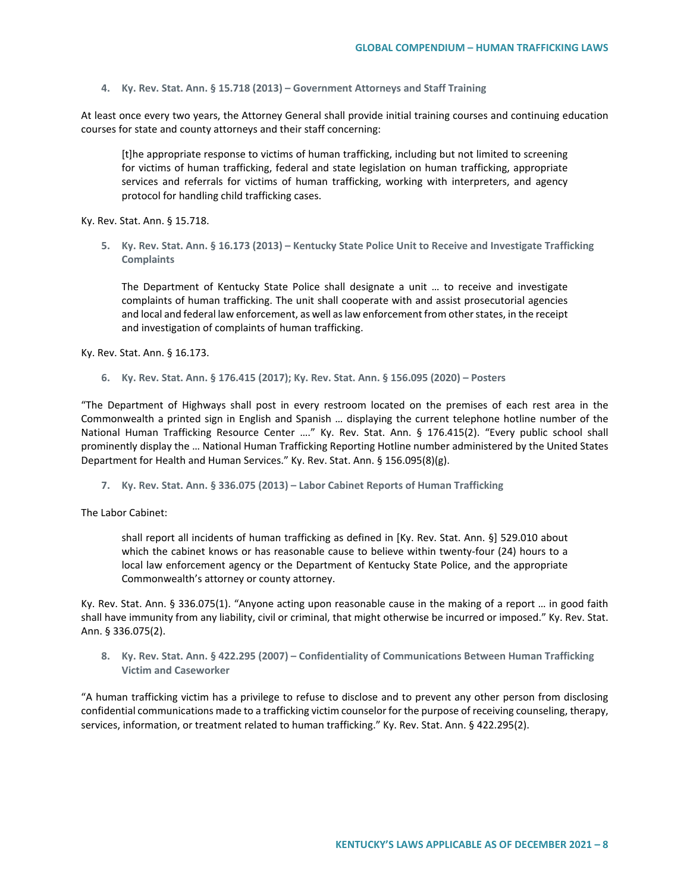**4. Ky. Rev. Stat. Ann. § 15.718 (2013) – Government Attorneys and Staff Training**

At least once every two years, the Attorney General shall provide initial training courses and continuing education courses for state and county attorneys and their staff concerning:

[t]he appropriate response to victims of human trafficking, including but not limited to screening for victims of human trafficking, federal and state legislation on human trafficking, appropriate services and referrals for victims of human trafficking, working with interpreters, and agency protocol for handling child trafficking cases.

Ky. Rev. Stat. Ann. § 15.718.

**5. Ky. Rev. Stat. Ann. § 16.173 (2013) – Kentucky State Police Unit to Receive and Investigate Trafficking Complaints** 

The Department of Kentucky State Police shall designate a unit … to receive and investigate complaints of human trafficking. The unit shall cooperate with and assist prosecutorial agencies and local and federal law enforcement, as well as law enforcement from other states, in the receipt and investigation of complaints of human trafficking.

Ky. Rev. Stat. Ann. § 16.173.

**6. Ky. Rev. Stat. Ann. § 176.415 (2017); Ky. Rev. Stat. Ann. § 156.095 (2020) – Posters**

"The Department of Highways shall post in every restroom located on the premises of each rest area in the Commonwealth a printed sign in English and Spanish … displaying the current telephone hotline number of the National Human Trafficking Resource Center …." Ky. Rev. Stat. Ann. § 176.415(2). "Every public school shall prominently display the … National Human Trafficking Reporting Hotline number administered by the United States Department for Health and Human Services." Ky. Rev. Stat. Ann. § 156.095(8)(g).

**7. Ky. Rev. Stat. Ann. § 336.075 (2013) – Labor Cabinet Reports of Human Trafficking**

The Labor Cabinet:

shall report all incidents of human trafficking as defined in [Ky. Rev. Stat. Ann. §] 529.010 about which the cabinet knows or has reasonable cause to believe within twenty-four (24) hours to a local law enforcement agency or the Department of Kentucky State Police, and the appropriate Commonwealth's attorney or county attorney.

Ky. Rev. Stat. Ann. § 336.075(1). "Anyone acting upon reasonable cause in the making of a report … in good faith shall have immunity from any liability, civil or criminal, that might otherwise be incurred or imposed." Ky. Rev. Stat. Ann. § 336.075(2).

**8. Ky. Rev. Stat. Ann. § 422.295 (2007) – Confidentiality of Communications Between Human Trafficking Victim and Caseworker**

"A human trafficking victim has a privilege to refuse to disclose and to prevent any other person from disclosing confidential communications made to a trafficking victim counselor for the purpose of receiving counseling, therapy, services, information, or treatment related to human trafficking." Ky. Rev. Stat. Ann. § 422.295(2).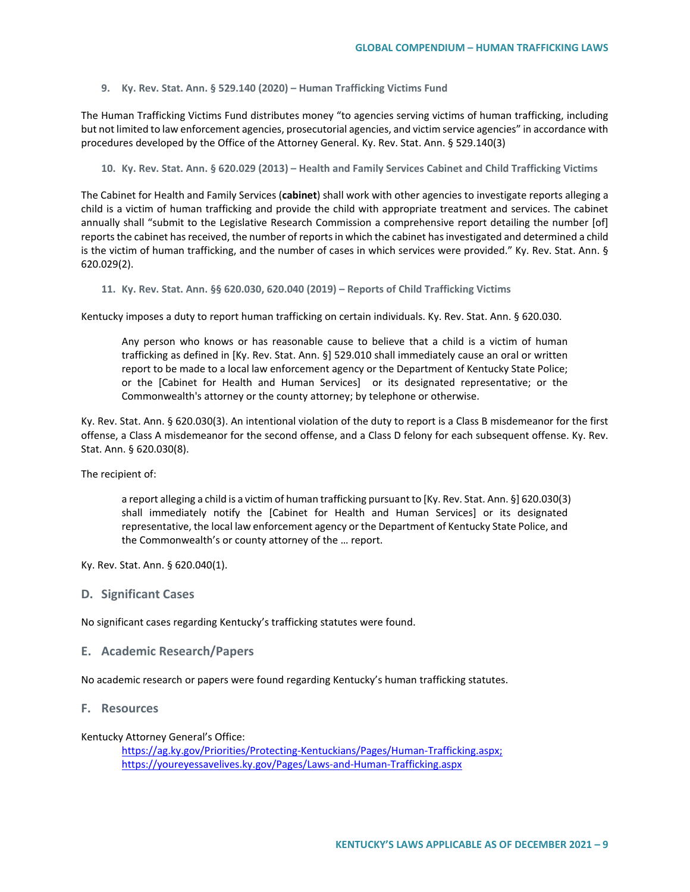**9. Ky. Rev. Stat. Ann. § 529.140 (2020) – Human Trafficking Victims Fund**

The Human Trafficking Victims Fund distributes money "to agencies serving victims of human trafficking, including but not limited to law enforcement agencies, prosecutorial agencies, and victim service agencies" in accordance with procedures developed by the Office of the Attorney General. Ky. Rev. Stat. Ann. § 529.140(3)

**10. Ky. Rev. Stat. Ann. § 620.029 (2013) – Health and Family Services Cabinet and Child Trafficking Victims** 

The Cabinet for Health and Family Services (**cabinet**) shall work with other agencies to investigate reports alleging a child is a victim of human trafficking and provide the child with appropriate treatment and services. The cabinet annually shall "submit to the Legislative Research Commission a comprehensive report detailing the number [of] reports the cabinet has received, the number of reports in which the cabinet has investigated and determined a child is the victim of human trafficking, and the number of cases in which services were provided." Ky. Rev. Stat. Ann. § 620.029(2).

**11. Ky. Rev. Stat. Ann. §§ 620.030, 620.040 (2019) – Reports of Child Trafficking Victims**

Kentucky imposes a duty to report human trafficking on certain individuals. Ky. Rev. Stat. Ann. § 620.030.

Any person who knows or has reasonable cause to believe that a child is a victim of human trafficking as defined in [Ky. Rev. Stat. Ann. §] 529.010 shall immediately cause an oral or written report to be made to a local law enforcement agency or the Department of Kentucky State Police; or the [Cabinet for Health and Human Services] or its designated representative; or the Commonwealth's attorney or the county attorney; by telephone or otherwise.

Ky. Rev. Stat. Ann. § 620.030(3). An intentional violation of the duty to report is a Class B misdemeanor for the first offense, a Class A misdemeanor for the second offense, and a Class D felony for each subsequent offense. Ky. Rev. Stat. Ann. § 620.030(8).

The recipient of:

a report alleging a child is a victim of human trafficking pursuant to [Ky. Rev. Stat. Ann. §] 620.030(3) shall immediately notify the [Cabinet for Health and Human Services] or its designated representative, the local law enforcement agency or the Department of Kentucky State Police, and the Commonwealth's or county attorney of the … report.

Ky. Rev. Stat. Ann. § 620.040(1).

## **D. Significant Cases**

No significant cases regarding Kentucky's trafficking statutes were found.

## **E. Academic Research/Papers**

No academic research or papers were found regarding Kentucky's human trafficking statutes.

#### **F. Resources**

Kentucky Attorney General's Office:

[https://ag.ky.gov/Priorities/Protecting-Kentuckians/Pages/Human-Trafficking.aspx;](https://ag.ky.gov/Priorities/Protecting-Kentuckians/Pages/Human-Trafficking.aspx)  https://youreyessavelives.ky.gov/Pages/Laws-and-Human-Trafficking.aspx